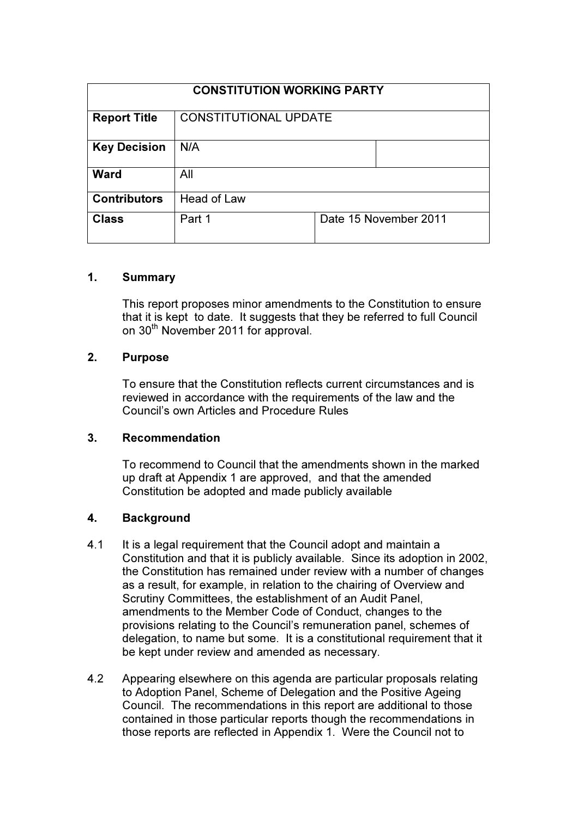| <b>CONSTITUTION WORKING PARTY</b> |                              |                       |
|-----------------------------------|------------------------------|-----------------------|
| <b>Report Title</b>               | <b>CONSTITUTIONAL UPDATE</b> |                       |
| <b>Key Decision</b>               | N/A                          |                       |
| <b>Ward</b>                       | All                          |                       |
| <b>Contributors</b>               | Head of Law                  |                       |
| <b>Class</b>                      | Part 1                       | Date 15 November 2011 |

### 1. Summary

This report proposes minor amendments to the Constitution to ensure that it is kept to date. It suggests that they be referred to full Council on 30<sup>th</sup> November 2011 for approval.

### 2. Purpose

To ensure that the Constitution reflects current circumstances and is reviewed in accordance with the requirements of the law and the Council's own Articles and Procedure Rules

#### 3. Recommendation

To recommend to Council that the amendments shown in the marked up draft at Appendix 1 are approved, and that the amended Constitution be adopted and made publicly available

# 4. Background

- 4.1 It is a legal requirement that the Council adopt and maintain a Constitution and that it is publicly available. Since its adoption in 2002, the Constitution has remained under review with a number of changes as a result, for example, in relation to the chairing of Overview and Scrutiny Committees, the establishment of an Audit Panel, amendments to the Member Code of Conduct, changes to the provisions relating to the Council's remuneration panel, schemes of delegation, to name but some. It is a constitutional requirement that it be kept under review and amended as necessary.
- 4.2 Appearing elsewhere on this agenda are particular proposals relating to Adoption Panel, Scheme of Delegation and the Positive Ageing Council. The recommendations in this report are additional to those contained in those particular reports though the recommendations in those reports are reflected in Appendix 1. Were the Council not to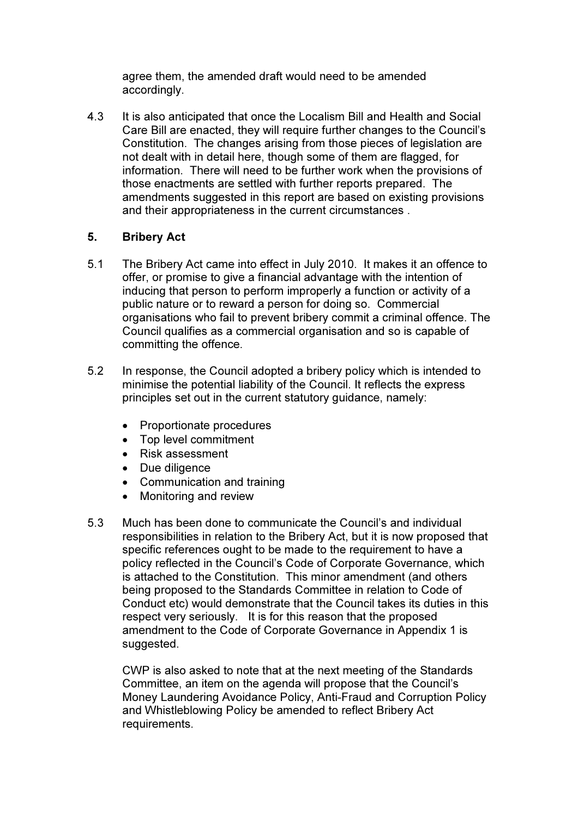agree them, the amended draft would need to be amended accordingly.

4.3 It is also anticipated that once the Localism Bill and Health and Social Care Bill are enacted, they will require further changes to the Council's Constitution. The changes arising from those pieces of legislation are not dealt with in detail here, though some of them are flagged, for information. There will need to be further work when the provisions of those enactments are settled with further reports prepared. The amendments suggested in this report are based on existing provisions and their appropriateness in the current circumstances .

# 5. Bribery Act

- 5.1 The Bribery Act came into effect in July 2010. It makes it an offence to offer, or promise to give a financial advantage with the intention of inducing that person to perform improperly a function or activity of a public nature or to reward a person for doing so. Commercial organisations who fail to prevent bribery commit a criminal offence. The Council qualifies as a commercial organisation and so is capable of committing the offence.
- 5.2 In response, the Council adopted a bribery policy which is intended to minimise the potential liability of the Council. It reflects the express principles set out in the current statutory guidance, namely:
	- Proportionate procedures
	- Top level commitment
	- Risk assessment
	- Due diligence
	- Communication and training
	- Monitoring and review
- 5.3 Much has been done to communicate the Council's and individual responsibilities in relation to the Bribery Act, but it is now proposed that specific references ought to be made to the requirement to have a policy reflected in the Council's Code of Corporate Governance, which is attached to the Constitution. This minor amendment (and others being proposed to the Standards Committee in relation to Code of Conduct etc) would demonstrate that the Council takes its duties in this respect very seriously. It is for this reason that the proposed amendment to the Code of Corporate Governance in Appendix 1 is suggested.

CWP is also asked to note that at the next meeting of the Standards Committee, an item on the agenda will propose that the Council's Money Laundering Avoidance Policy, Anti-Fraud and Corruption Policy and Whistleblowing Policy be amended to reflect Bribery Act requirements.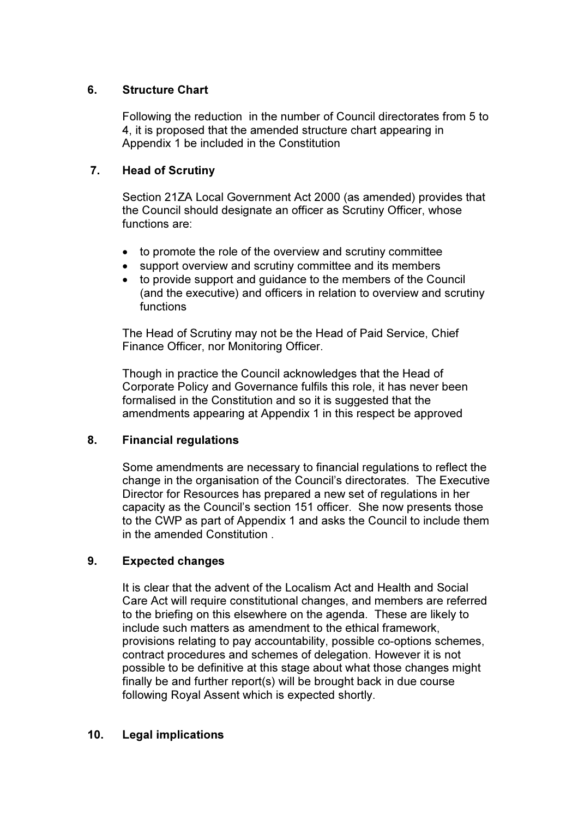### 6. Structure Chart

Following the reduction in the number of Council directorates from 5 to 4, it is proposed that the amended structure chart appearing in Appendix 1 be included in the Constitution

### 7. Head of Scrutiny

Section 21ZA Local Government Act 2000 (as amended) provides that the Council should designate an officer as Scrutiny Officer, whose functions are:

- to promote the role of the overview and scrutiny committee
- support overview and scrutiny committee and its members
- to provide support and guidance to the members of the Council (and the executive) and officers in relation to overview and scrutiny functions

The Head of Scrutiny may not be the Head of Paid Service, Chief Finance Officer, nor Monitoring Officer.

Though in practice the Council acknowledges that the Head of Corporate Policy and Governance fulfils this role, it has never been formalised in the Constitution and so it is suggested that the amendments appearing at Appendix 1 in this respect be approved

# 8. Financial regulations

Some amendments are necessary to financial regulations to reflect the change in the organisation of the Council's directorates. The Executive Director for Resources has prepared a new set of regulations in her capacity as the Council's section 151 officer. She now presents those to the CWP as part of Appendix 1 and asks the Council to include them in the amended Constitution .

# 9. Expected changes

It is clear that the advent of the Localism Act and Health and Social Care Act will require constitutional changes, and members are referred to the briefing on this elsewhere on the agenda. These are likely to include such matters as amendment to the ethical framework, provisions relating to pay accountability, possible co-options schemes, contract procedures and schemes of delegation. However it is not possible to be definitive at this stage about what those changes might finally be and further report(s) will be brought back in due course following Royal Assent which is expected shortly.

# 10. Legal implications